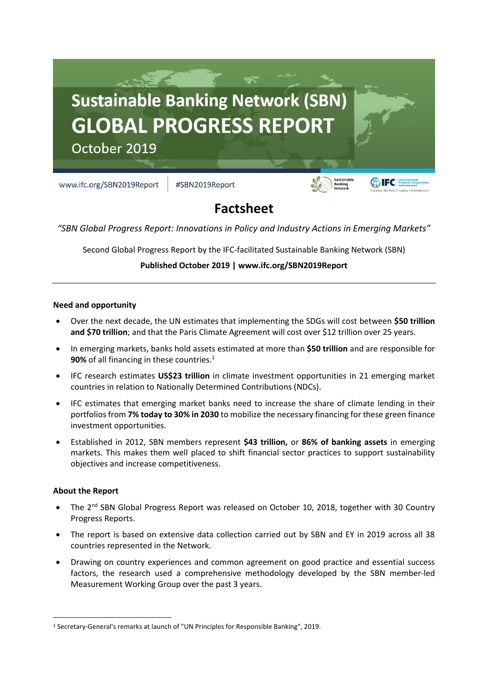

# **Factsheet**

*"SBN Global Progress Report: Innovations in Policy and Industry Actions in Emerging Markets"*

Second Global Progress Report by the IFC-facilitated Sustainable Banking Network (SBN)

**Published October 2019 | www.ifc.org/SBN2019Report**

#### **Need and opportunity**

- Over the next decade, the UN estimates that implementing the SDGs will cost between **\$50 trillion and \$70 trillion**; and that the Paris Climate Agreement will cost over \$12 trillion over 25 years.
- In emerging markets, banks hold assets estimated at more than **\$50 trillion** and are responsible for **90%** of all financing in these countries.<sup>1</sup>
- IFC research estimates **US\$23 trillion** in climate investment opportunities in 21 emerging market countries in relation to Nationally Determined Contributions (NDCs).
- IFC estimates that emerging market banks need to increase the share of climate lending in their portfolios from **7% today to 30% in 2030** to mobilize the necessary financing for these green finance investment opportunities.
- Established in 2012, SBN members represent **\$43 trillion,** or **86% of banking assets** in emerging markets. This makes them well placed to shift financial sector practices to support sustainability objectives and increase competitiveness.

#### **About the Report**

 $\overline{a}$ 

- The 2<sup>nd</sup> SBN Global Progress Report was released on October 10, 2018, together with 30 Country Progress Reports.
- The report is based on extensive data collection carried out by SBN and EY in 2019 across all 38 countries represented in the Network.
- Drawing on country experiences and common agreement on good practice and essential success factors, the research used a comprehensive methodology developed by the SBN member-led Measurement Working Group over the past 3 years.

<sup>1</sup> Secretary-General's remarks at launch of "UN Principles for Responsible Banking", 2019.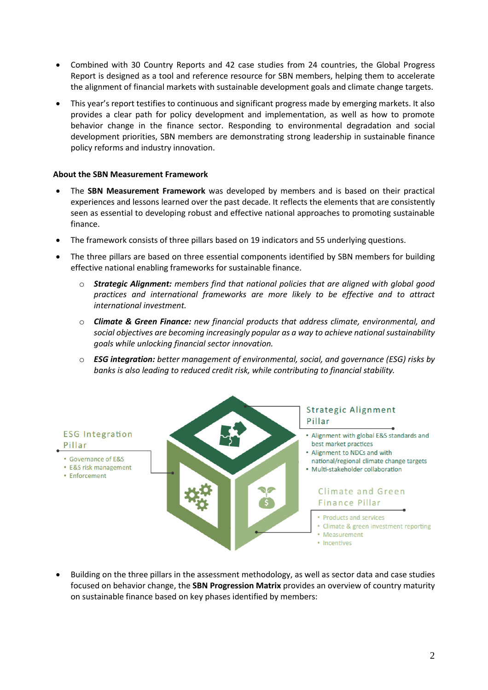- Combined with 30 Country Reports and 42 case studies from 24 countries, the Global Progress Report is designed as a tool and reference resource for SBN members, helping them to accelerate the alignment of financial markets with sustainable development goals and climate change targets.
- This year's report testifies to continuous and significant progress made by emerging markets. It also provides a clear path for policy development and implementation, as well as how to promote behavior change in the finance sector. Responding to environmental degradation and social development priorities, SBN members are demonstrating strong leadership in sustainable finance policy reforms and industry innovation.

## **About the SBN Measurement Framework**

- The **SBN Measurement Framework** was developed by members and is based on their practical experiences and lessons learned over the past decade. It reflects the elements that are consistently seen as essential to developing robust and effective national approaches to promoting sustainable finance.
- The framework consists of three pillars based on 19 indicators and 55 underlying questions.
- The three pillars are based on three essential components identified by SBN members for building effective national enabling frameworks for sustainable finance.
	- o *Strategic Alignment: members find that national policies that are aligned with global good practices and international frameworks are more likely to be effective and to attract international investment.*
	- o *Climate & Green Finance: new financial products that address climate, environmental, and social objectives are becoming increasingly popular as a way to achieve national sustainability goals while unlocking financial sector innovation.*
	- o *ESG integration: better management of environmental, social, and governance (ESG) risks by banks is also leading to reduced credit risk, while contributing to financial stability.*



• Building on the three pillars in the assessment methodology, as well as sector data and case studies focused on behavior change, the **SBN Progression Matrix** provides an overview of country maturity on sustainable finance based on key phases identified by members: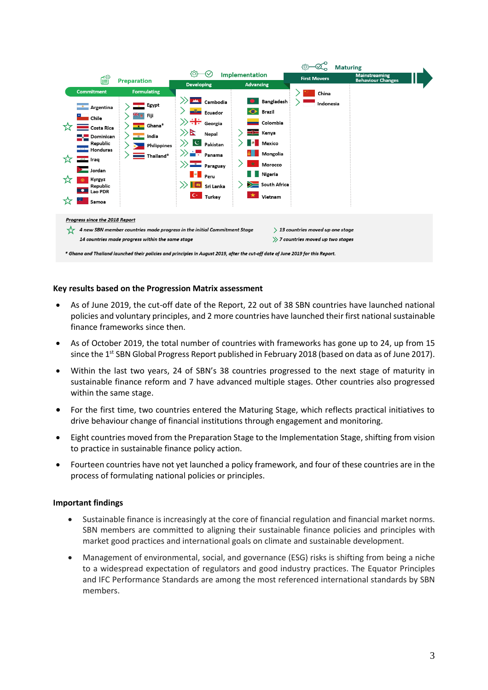

#### **Key results based on the Progression Matrix assessment**

- As of June 2019, the cut-off date of the Report, 22 out of 38 SBN countries have launched national policies and voluntary principles, and 2 more countries have launched their first national sustainable finance frameworks since then.
- As of October 2019, the total number of countries with frameworks has gone up to 24, up from 15 since the 1<sup>st</sup> SBN Global Progress Report published in February 2018 (based on data as of June 2017).
- Within the last two years, 24 of SBN's 38 countries progressed to the next stage of maturity in sustainable finance reform and 7 have advanced multiple stages. Other countries also progressed within the same stage.
- For the first time, two countries entered the Maturing Stage, which reflects practical initiatives to drive behaviour change of financial institutions through engagement and monitoring.
- Eight countries moved from the Preparation Stage to the Implementation Stage, shifting from vision to practice in sustainable finance policy action.
- Fourteen countries have not yet launched a policy framework, and four of these countries are in the process of formulating national policies or principles.

#### **Important findings**

- Sustainable finance is increasingly at the core of financial regulation and financial market norms. SBN members are committed to aligning their sustainable finance policies and principles with market good practices and international goals on climate and sustainable development.
- Management of environmental, social, and governance (ESG) risks is shifting from being a niche to a widespread expectation of regulators and good industry practices. The Equator Principles and IFC Performance Standards are among the most referenced international standards by SBN members.